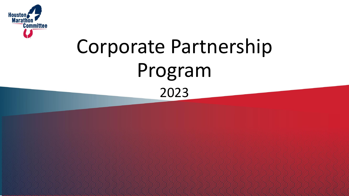

# Corporate Partnership Program 2023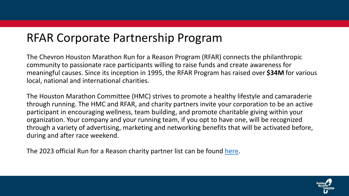#### RFAR Corporate Partnership Program

The Chevron Houston Marathon Run for a Reason Program (RFAR) connects the philanthropic community to passionate race participants willing to raise funds and create awareness for meaningful causes. Since its inception in 1995, the RFAR Program has raised over **\$34M** for various local, national and international charities.

The Houston Marathon Committee (HMC) strives to promote a healthy lifestyle and camaraderie through running. The HMC and RFAR, and charity partners invite your corporation to be an active participant in encouraging wellness, team building, and promote charitable giving within your organization. Your company and your running team, if you opt to have one, will be recognized through a variety of advertising, marketing and networking benefits that will be activated before, during and after race weekend.

The 2023 official Run for a Reason charity partner list can be found [here.](https://events.hakuapp.com/events/e03a5d712e371e07cce1/charity_partners?_ga=2.158866365.667269048.1650385900-203005364.1619203256)

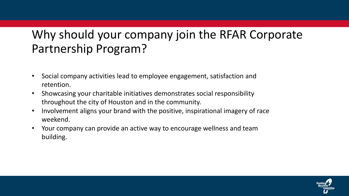# Why should your company join the RFAR Corporate Partnership Program?

- Social company activities lead to employee engagement, satisfaction and retention.
- Showcasing your charitable initiatives demonstrates social responsibility throughout the city of Houston and in the community.
- Involvement aligns your brand with the positive, inspirational imagery of race weekend.
- Your company can provide an active way to encourage wellness and team building.

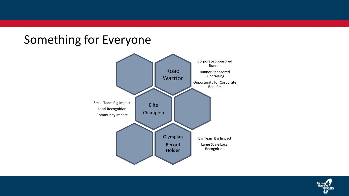#### Something for Everyone



![](_page_3_Picture_2.jpeg)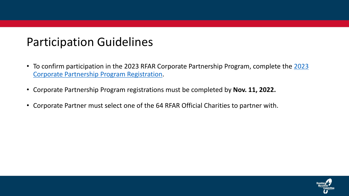### Participation Guidelines

- [To confirm participation in the 2023 RFAR Corporate Partnership Program, complete](https://houstonmarathon.wufoo.com/forms/z5aga6p06xrm9n/) the 2023 Corporate Partnership Program Registration.
- Corporate Partnership Program registrations must be completed by **Nov. 11, 2022.**
- Corporate Partner must select one of the 64 RFAR Official Charities to partner with.

![](_page_4_Picture_4.jpeg)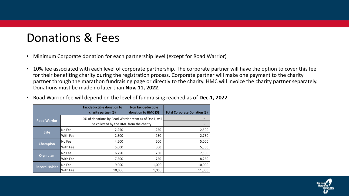# Donations & Fees

- Minimum Corporate donation for each partnership level (except for Road Warrior)
- 10% fee associated with each level of corporate partnership. The corporate partner will have the option to cover this fee for their benefiting charity during the registration process. Corporate partner will make one payment to the charity partner through the marathon fundraising page or directly to the charity. HMC will invoice the charity partner separately. Donations must be made no later than **Nov. 11, 2022**.

|  |  |  | Noad Warrior fee will depend on the level of fundraising reached as of Dec.1, 2022. |  |
|--|--|--|-------------------------------------------------------------------------------------|--|
|--|--|--|-------------------------------------------------------------------------------------|--|

|                      |                                                         | Tax-deductible donation to<br>charity partner $(\xi)$ | Non tax-deductible<br>donation to HMC (\$) | Total Corporate Donation (\$) |
|----------------------|---------------------------------------------------------|-------------------------------------------------------|--------------------------------------------|-------------------------------|
| <b>Road Warrior</b>  | 10% of donations by Road Warrior team as of Dec.1, will |                                                       |                                            |                               |
|                      |                                                         | be collected by the HMC from the charity              |                                            |                               |
| <b>Elite</b>         | No Fee                                                  | 2,250                                                 | 250                                        | 2,500                         |
|                      | With Fee                                                | 2,500                                                 | 250                                        | 2,750                         |
| <b>Champion</b>      | No Fee                                                  | 4,500                                                 | 500                                        | 5,000                         |
|                      | With Fee                                                | 5,000                                                 | 500                                        | 5,500                         |
| Olympian             | No Fee                                                  | 6,750                                                 | 750                                        | 7,500                         |
|                      | With Fee                                                | 7,500                                                 | 750                                        | 8,250                         |
| <b>Record Holder</b> | No Fee                                                  | 9,000                                                 | 1,000                                      | 10,000                        |
|                      | With Fee                                                | 10,000                                                | 1,000                                      | 11,000                        |

![](_page_5_Picture_5.jpeg)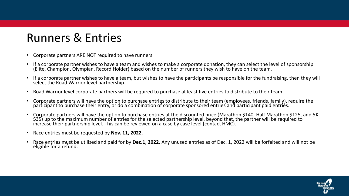# Runners & Entries

- Corporate partners ARE NOT required to have runners.
- If a corporate partner wishes to have a team and wishes to make a corporate donation, they can select the level of sponsorship (Elite, Champion, Olympian, Record Holder) based on the number of runners they wish to have on the team.
- If a corporate partner wishes to have a team, but wishes to have the participants be responsible for the fundraising, then they will select the Road Warrior level partnership.
- Road Warrior level corporate partners will be required to purchase at least five entries to distribute to their team.
- Corporate partners will have the option to purchase entries to distribute to their team (employees, friends, family), require the participant to purchase their entry, or do a combination of corporate sponsored entries and participant paid entries.
- Corporate partners will have the option to purchase entries at the discounted price (Marathon \$140, Half Marathon \$125, and 5K \$35) up to the maximum number of entries for the selected partnership level, beyond that, the partner will be required to increase their partnership level. This can be reviewed on a case by case level (contact HMC).
- Race entries must be requested by **Nov. 11, 2022**.
- Race entries must be utilized and paid for by **Dec.1, 2022**. Any unused entries as of Dec. 1, 2022 will be forfeited and will not be eligible for a refund.

![](_page_6_Picture_9.jpeg)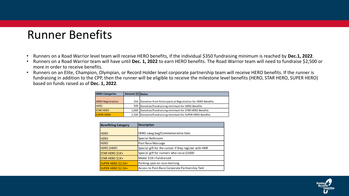#### Runner Benefits

- Runners on a Road Warrior level team will receive HERO benefits, if the individual \$350 fundraising minimum is reached by **Dec.1, 2022**.
- Runners on a Road Warrior team will have until **Dec. 1, 2022** to earn HERO benefits. The Road Warrior team will need to fundraise \$2,500 or more in order to receive benefits.
- Runners on an Elite, Champion, Olympian, or Record Holder level corporate partnership team will receive HERO benefits. If the runner is fundraising in addition to the CPP, then the runner will be eligible to receive the milestone level benefits (HERO, STAR HERO, SUPER HERO) based on funds raised as of **Dec. 1, 2022**.

| <b>HERO Categories</b>   | Amount (\$) Notes |                                                                   |
|--------------------------|-------------------|-------------------------------------------------------------------|
|                          |                   |                                                                   |
| <b>HERO Registration</b> |                   | 350   Donation from Participant at Registration for HERO Benefits |
| <b>HERO</b>              |                   | 500   Donation/Fundraising minimum for HERO Benefits              |
| <b>STAR HERO</b>         |                   | 1,000 Donation/Fundraising minimum for STAR HERO Benefits         |
| <b>SUPER HERO</b>        |                   | 2,500 Donation/Fundraising minimum for SUPER HERO Benefits        |

| <b>Benefitting Category</b> | <b>Description</b>                                    |  |  |
|-----------------------------|-------------------------------------------------------|--|--|
|                             |                                                       |  |  |
| <b>HERO</b>                 | HERO swag bag/Commemorative Item                      |  |  |
| <b>HERO</b>                 | Special Bathroom                                      |  |  |
| <b>HERO</b>                 | Post Race Massage                                     |  |  |
| <b>HERO (HMF)</b>           | Special gift for the runner if they register with HMF |  |  |
| STAR HERO \$1K+             | Special gift for runners who raise \$1000             |  |  |
| STAR HERO \$1K+             | Medal \$1K+ Fundraised                                |  |  |
| <b>SUPER HERO \$2.5K+</b>   | Parking spot on race morning                          |  |  |
| <b>SUPER HERO \$2.5K+</b>   | Access to Post-Race Corporate Partnership Tent        |  |  |

![](_page_7_Picture_6.jpeg)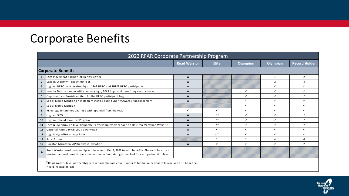# Corporate Benefits

| 2023 RFAR Corporate Partnership Program |                                                                                                                                                                                                     |                     |                |                |                |                      |  |  |
|-----------------------------------------|-----------------------------------------------------------------------------------------------------------------------------------------------------------------------------------------------------|---------------------|----------------|----------------|----------------|----------------------|--|--|
|                                         |                                                                                                                                                                                                     | <b>Road Warrior</b> | <b>Elite</b>   | Champion       | Olympian       | <b>Record Holder</b> |  |  |
|                                         | <b>Corporate Benefits</b>                                                                                                                                                                           |                     |                |                |                |                      |  |  |
| -1                                      | Logo Placement & Hyperlink in Newsletter                                                                                                                                                            | A                   |                |                | $\mathbf{1}$   | $\overline{2}$       |  |  |
| $\overline{2}$                          | Logo in Charity Village @ RunFest                                                                                                                                                                   | A                   |                |                | $\overline{2}$ |                      |  |  |
| $\overline{\mathbf{3}}$                 | Logo on HERO item received by all STAR HERO and SUPER HERO participants                                                                                                                             | A                   |                |                | $\checkmark$   | $\checkmark$         |  |  |
| 4                                       | Hoopla Station banner with company logo, RFAR logo, and benefiting charity name                                                                                                                     | A                   |                | $\checkmark$   | $\checkmark$   | ✓                    |  |  |
| 5                                       | Opportunity to Provide an item for the HERO participant bag                                                                                                                                         | A                   |                | ✓              | $\checkmark$   | ✓                    |  |  |
| 6                                       | Social Media Mention on Instagram Stories during Charity Awards Announcement                                                                                                                        | A                   |                | $\checkmark$   | $\checkmark$   | $\checkmark$         |  |  |
| $\overline{7}$                          | Social Media Mention                                                                                                                                                                                |                     |                | ✓              | ✓              | ✓                    |  |  |
| 8                                       | RFAR logo for promotional use with approval from the HMC                                                                                                                                            | ✓                   | $\checkmark$   | ✓              | $\checkmark$   | ✓                    |  |  |
| 9                                       | Logo at EXPO                                                                                                                                                                                        | A                   | $\checkmark^*$ | $\checkmark$   | $\checkmark$   | ✓                    |  |  |
| 10                                      | Logo in Official Race Day Program                                                                                                                                                                   | A                   | $\checkmark^*$ | $\checkmark$   | $\checkmark$   |                      |  |  |
| 11                                      | Logo & Hyperlink on RFAR Corporate Partnership Program page on Houston Marathon Website                                                                                                             | A                   | $\checkmark^*$ | $\checkmark$   | ✓              | ✓                    |  |  |
| 12                                      | Optional Race Day On-Course Party Box                                                                                                                                                               | A                   | ✓              | ✓              | ✓              | ✓                    |  |  |
| 13                                      | Logo & Hyperlink on App Page                                                                                                                                                                        | A                   | $\checkmark^*$ | ✓              | $\checkmark$   | ✓                    |  |  |
| 14                                      | Race Entries                                                                                                                                                                                        |                     | $\overline{2}$ | $\overline{2}$ | 4              | 6                    |  |  |
| 15                                      | Houston Marathon VIP Breakfast Invitation                                                                                                                                                           | A                   | $\overline{z}$ | $\overline{2}$ | $\mathcal{P}$  | $\overline{z}$       |  |  |
| $\mathbf{A}$                            | Road Warrior level partnership will have until Dec.1, 2022 to earn benefits. They will be able to<br>receive the level benefits once the minimum fundraising is reached for each partnership level. |                     |                |                |                |                      |  |  |
|                                         | Road Warrior level partnership will require the individual runner to fundraise or donate to receive HERO benefits.                                                                                  |                     |                |                |                |                      |  |  |

\* Text instead of logo

![](_page_8_Picture_3.jpeg)